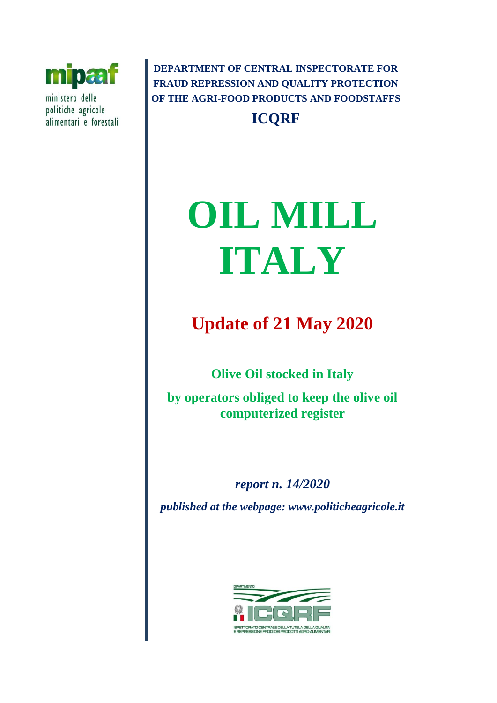

ministero delle politiche agricole alimentari e forestali

**DEPARTMENT OF CENTRAL INSPECTORATE FOR FRAUD REPRESSION AND QUALITY PROTECTION OF THE AGRI-FOOD PRODUCTS AND FOODSTAFFS ICQRF**

# **OIL MILL ITALY**

# **Update of 21 May 2020**

**Olive Oil stocked in Italy** 

**by operators obliged to keep the olive oil computerized register** 

*report n. 14/2020 published at the webpage: www.politicheagricole.it*

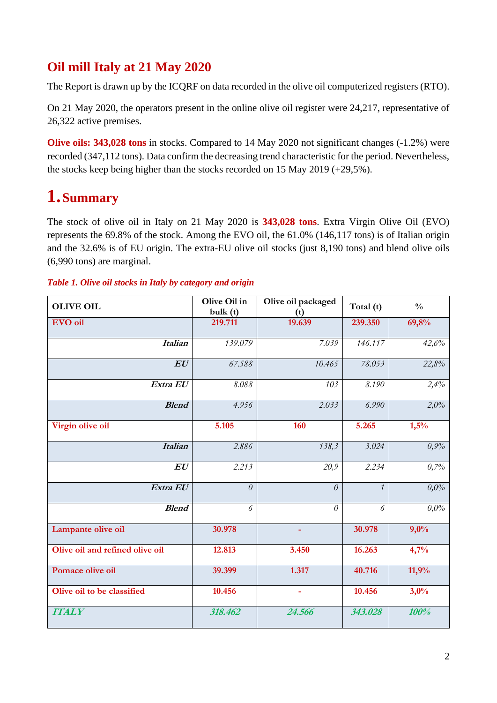## **Oil mill Italy at 21 May 2020**

The Report is drawn up by the ICQRF on data recorded in the olive oil computerized registers (RTO).

On 21 May 2020, the operators present in the online olive oil register were 24,217, representative of 26,322 active premises.

**Olive oils: 343,028 tons** in stocks. Compared to 14 May 2020 not significant changes (-1.2%) were recorded (347,112 tons). Data confirm the decreasing trend characteristic for the period. Nevertheless, the stocks keep being higher than the stocks recorded on 15 May 2019 (+29,5%).

## **1.Summary**

The stock of olive oil in Italy on 21 May 2020 is **343,028 tons**. Extra Virgin Olive Oil (EVO) represents the 69.8% of the stock. Among the EVO oil, the 61.0% (146,117 tons) is of Italian origin and the 32.6% is of EU origin. The extra-EU olive oil stocks (just 8,190 tons) and blend olive oils (6,990 tons) are marginal.

## *Table 1. Olive oil stocks in Italy by category and origin*

| <b>OLIVE OIL</b>                | Olive Oil in<br>bulk(t) | Olive oil packaged<br>(t) | Total (t)     | $\frac{0}{0}$ |
|---------------------------------|-------------------------|---------------------------|---------------|---------------|
| <b>EVO</b> oil                  | 219.711                 | 19.639                    | 239.350       | 69,8%         |
| <b>Italian</b>                  | 139.079                 | 7.039                     | 146.117       | 42,6%         |
| EU                              | 67.588                  | 10.465                    | 78.053        | 22,8%         |
| Extra EU                        | 8.088                   | 103                       | 8.190         | 2,4%          |
| <b>Blend</b>                    | 4.956                   | 2.033                     | 6.990         | 2,0%          |
| Virgin olive oil                | 5.105                   | 160                       | 5.265         | 1,5%          |
| <b>Italian</b>                  | 2.886                   | 138,3                     | 3.024         | 0,9%          |
| $\bm{E}\bm{U}$                  | 2.213                   | 20,9                      | 2.234         | 0,7%          |
| Extra EU                        | $\theta$                | $\theta$                  | $\mathcal{I}$ | 0.0%          |
| <b>Blend</b>                    | 6                       | $\theta$                  | 6             | 0,0%          |
| Lampante olive oil              | 30.978                  | $\blacksquare$            | 30.978        | 9,0%          |
| Olive oil and refined olive oil | 12.813                  | 3.450                     | 16.263        | 4,7%          |
| Pomace olive oil                | 39.399                  | 1.317                     | 40.716        | 11,9%         |
| Olive oil to be classified      | 10.456                  | $\blacksquare$            | 10.456        | 3,0%          |
| <b>ITALY</b>                    | 318.462                 | 24.566                    | 343.028       | 100%          |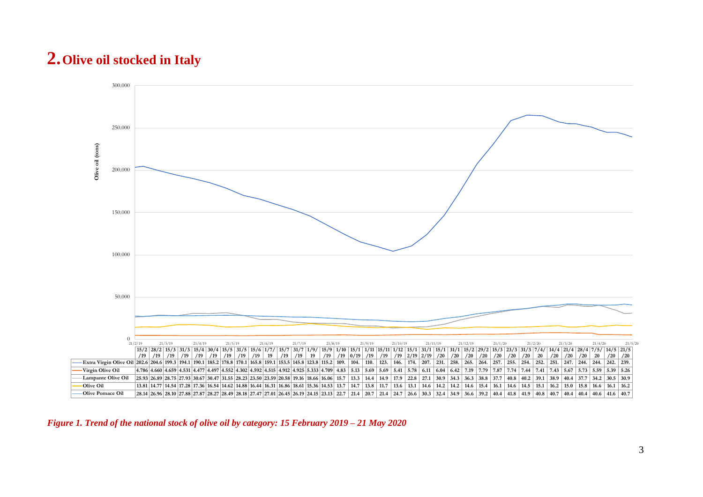# **2.Olive oil stocked in Italy**



*Figure 1. Trend of the national stock of olive oil by category: 15 February 2019 – 21 May 2020*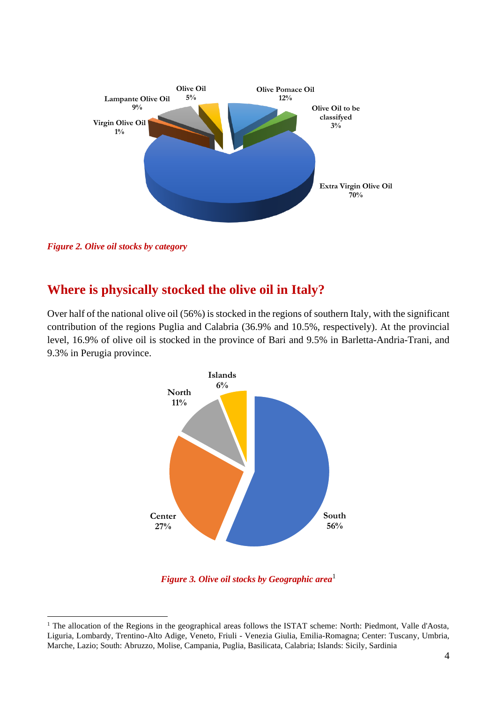

*Figure 2. Olive oil stocks by category*

## **Where is physically stocked the olive oil in Italy?**

Over half of the national olive oil (56%) is stocked in the regions of southern Italy, with the significant contribution of the regions Puglia and Calabria (36.9% and 10.5%, respectively). At the provincial level, 16.9% of olive oil is stocked in the province of Bari and 9.5% in Barletta-Andria-Trani, and 9.3% in Perugia province.



*Figure 3. Olive oil stocks by Geographic area*<sup>1</sup>

<sup>&</sup>lt;sup>1</sup> The allocation of the Regions in the geographical areas follows the ISTAT scheme: North: Piedmont, Valle d'Aosta, Liguria, Lombardy, Trentino-Alto Adige, Veneto, Friuli - Venezia Giulia, Emilia-Romagna; Center: Tuscany, Umbria, Marche, Lazio; South: Abruzzo, Molise, Campania, Puglia, Basilicata, Calabria; Islands: Sicily, Sardinia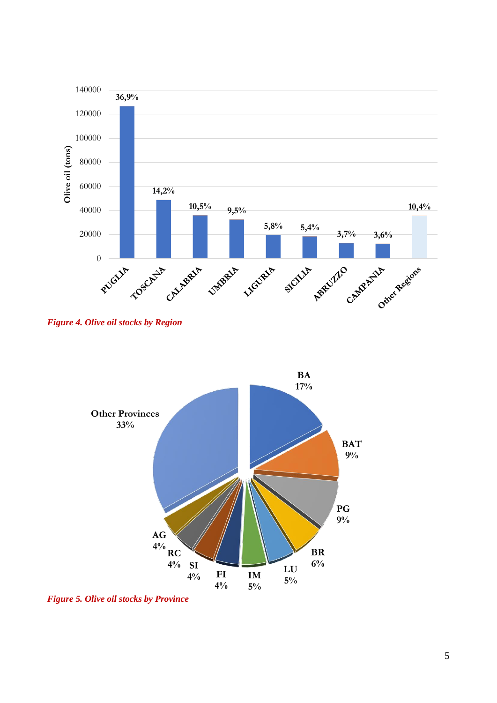

*Figure 4. Olive oil stocks by Region*



*Figure 5. Olive oil stocks by Province*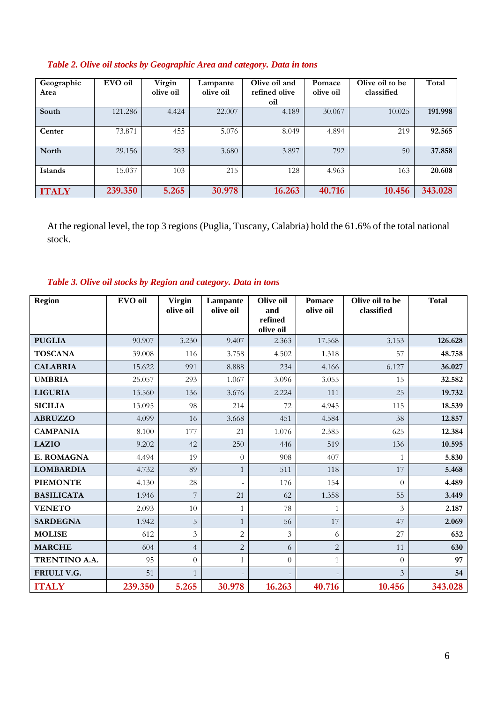| Geographic<br>Area | EVO oil | Virgin<br>olive oil | Lampante<br>olive oil | Olive oil and<br>refined olive<br>oil | Pomace<br>olive oil | Olive oil to be<br>classified | Total   |
|--------------------|---------|---------------------|-----------------------|---------------------------------------|---------------------|-------------------------------|---------|
| South              | 121.286 | 4.424               | 22.007                | 4.189                                 | 30.067              | 10.025                        | 191.998 |
| Center             | 73.871  | 455                 | 5.076                 | 8.049                                 | 4.894               | 219                           | 92.565  |
| North              | 29.156  | 283                 | 3.680                 | 3.897                                 | 792                 | 50                            | 37.858  |
| <b>Islands</b>     | 15.037  | 103                 | 215                   | 128                                   | 4.963               | 163                           | 20.608  |
| <b>ITALY</b>       | 239.350 | 5.265               | 30.978                | 16.263                                | 40.716              | 10.456                        | 343.028 |

## *Table 2. Olive oil stocks by Geographic Area and category. Data in tons*

At the regional level, the top 3 regions (Puglia, Tuscany, Calabria) hold the 61.6% of the total national stock.

*Table 3. Olive oil stocks by Region and category. Data in tons*

| Region            | EVO oil | <b>Virgin</b><br>olive oil | Lampante<br>olive oil    | Olive oil<br>and<br>refined<br>olive oil | <b>Pomace</b><br>olive oil | Olive oil to be<br>classified | <b>Total</b> |
|-------------------|---------|----------------------------|--------------------------|------------------------------------------|----------------------------|-------------------------------|--------------|
| <b>PUGLIA</b>     | 90.907  | 3.230                      | 9.407                    | 2.363                                    | 17.568                     | 3.153                         | 126.628      |
| <b>TOSCANA</b>    | 39.008  | 116                        | 3.758                    | 4.502                                    | 1.318                      | 57                            | 48.758       |
| <b>CALABRIA</b>   | 15.622  | 991                        | 8.888                    | 234                                      | 4.166                      | 6.127                         | 36.027       |
| <b>UMBRIA</b>     | 25.057  | 293                        | 1.067                    | 3.096                                    | 3.055                      | 15                            | 32.582       |
| <b>LIGURIA</b>    | 13.560  | 136                        | 3.676                    | 2.224                                    | 111                        | 25                            | 19.732       |
| <b>SICILIA</b>    | 13.095  | 98                         | 214                      | 72                                       | 4.945                      | 115                           | 18.539       |
| <b>ABRUZZO</b>    | 4.099   | 16                         | 3.668                    | 451                                      | 4.584                      | 38                            | 12.857       |
| <b>CAMPANIA</b>   | 8.100   | 177                        | 21                       | 1.076                                    | 2.385                      | 625                           | 12.384       |
| <b>LAZIO</b>      | 9.202   | 42                         | 250                      | 446                                      | 519                        | 136                           | 10.595       |
| E. ROMAGNA        | 4.494   | 19                         | $\theta$                 | 908                                      | 407                        | 1                             | 5.830        |
| <b>LOMBARDIA</b>  | 4.732   | 89                         | $\mathbf{1}$             | 511                                      | 118                        | 17                            | 5.468        |
| <b>PIEMONTE</b>   | 4.130   | 28                         | $\overline{\phantom{a}}$ | 176                                      | 154                        | $\Omega$                      | 4.489        |
| <b>BASILICATA</b> | 1.946   | $\overline{7}$             | 21                       | 62                                       | 1.358                      | 55                            | 3.449        |
| <b>VENETO</b>     | 2.093   | $10\,$                     | $\mathbf{1}$             | 78                                       | $\mathbf{1}$               | 3                             | 2.187        |
| <b>SARDEGNA</b>   | 1.942   | 5                          | $\mathbf{1}$             | 56                                       | 17                         | 47                            | 2.069        |
| <b>MOLISE</b>     | 612     | 3                          | $\overline{c}$           | $\overline{3}$                           | 6                          | 27                            | 652          |
| <b>MARCHE</b>     | 604     | $\overline{4}$             | $\overline{2}$           | 6                                        | $\overline{2}$             | 11                            | 630          |
| TRENTINO A.A.     | 95      | $\theta$                   | $\mathbf{1}$             | $\theta$                                 | $\mathbf{1}$               | $\Omega$                      | 97           |
| FRIULI V.G.       | 51      | $\mathbf{1}$               | $\qquad \qquad -$        |                                          |                            | $\overline{\mathbf{3}}$       | 54           |
| <b>ITALY</b>      | 239.350 | 5.265                      | 30.978                   | 16.263                                   | 40.716                     | 10.456                        | 343.028      |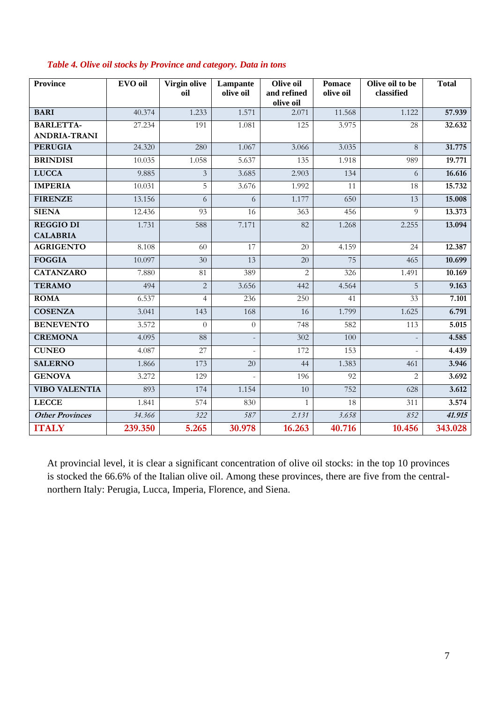| <b>Province</b>        | EVO oil | Virgin olive<br>oil | Lampante<br>olive oil | Olive oil<br>and refined<br>olive oil | <b>Pomace</b><br>olive oil | Olive oil to be<br>classified | <b>Total</b> |
|------------------------|---------|---------------------|-----------------------|---------------------------------------|----------------------------|-------------------------------|--------------|
| <b>BARI</b>            | 40.374  | 1.233               | 1.571                 | 2.071                                 | 11.568                     | 1.122                         | 57.939       |
| <b>BARLETTA-</b>       | 27.234  | 191                 | 1.081                 | 125                                   | 3.975                      | 28                            | 32.632       |
| <b>ANDRIA-TRANI</b>    |         |                     |                       |                                       |                            |                               |              |
| <b>PERUGIA</b>         | 24.320  | 280                 | 1.067                 | 3.066                                 | 3.035                      | 8                             | 31.775       |
| <b>BRINDISI</b>        | 10.035  | 1.058               | 5.637                 | 135                                   | 1.918                      | 989                           | 19.771       |
| <b>LUCCA</b>           | 9.885   | $\overline{3}$      | 3.685                 | 2.903                                 | 134                        | 6                             | 16.616       |
| <b>IMPERIA</b>         | 10.031  | 5                   | 3.676                 | 1.992                                 | 11                         | 18                            | 15.732       |
| <b>FIRENZE</b>         | 13.156  | 6                   | 6                     | 1.177                                 | 650                        | 13                            | 15.008       |
| <b>SIENA</b>           | 12.436  | 93                  | 16                    | 363                                   | 456                        | 9                             | 13.373       |
| <b>REGGIO DI</b>       | 1.731   | 588                 | 7.171                 | 82                                    | 1.268                      | 2.255                         | 13.094       |
| <b>CALABRIA</b>        |         |                     |                       |                                       |                            |                               |              |
| <b>AGRIGENTO</b>       | 8.108   | 60                  | 17                    | 20                                    | 4.159                      | 24                            | 12.387       |
| <b>FOGGIA</b>          | 10.097  | 30                  | 13                    | 20                                    | 75                         | 465                           | 10.699       |
| <b>CATANZARO</b>       | 7.880   | 81                  | 389                   | $\overline{2}$                        | 326                        | 1.491                         | 10.169       |
| <b>TERAMO</b>          | 494     | $\overline{2}$      | 3.656                 | 442                                   | 4.564                      | 5                             | 9.163        |
| <b>ROMA</b>            | 6.537   | $\overline{4}$      | 236                   | 250                                   | 41                         | 33                            | 7.101        |
| <b>COSENZA</b>         | 3.041   | 143                 | 168                   | 16                                    | 1.799                      | 1.625                         | 6.791        |
| <b>BENEVENTO</b>       | 3.572   | $\theta$            | $\overline{0}$        | 748                                   | 582                        | 113                           | 5.015        |
| <b>CREMONA</b>         | 4.095   | 88                  |                       | 302                                   | 100                        |                               | 4.585        |
| <b>CUNEO</b>           | 4.087   | $\overline{27}$     |                       | 172                                   | 153                        |                               | 4.439        |
| <b>SALERNO</b>         | 1.866   | 173                 | 20                    | 44                                    | 1.383                      | 461                           | 3.946        |
| <b>GENOVA</b>          | 3.272   | 129                 | L.                    | 196                                   | 92                         | $\overline{2}$                | 3.692        |
| <b>VIBO VALENTIA</b>   | 893     | 174                 | 1.154                 | 10                                    | 752                        | 628                           | 3.612        |
| <b>LECCE</b>           | 1.841   | 574                 | 830                   | $\mathbf{1}$                          | 18                         | 311                           | 3.574        |
| <b>Other Provinces</b> | 34.366  | 322                 | 587                   | 2.131                                 | 3.658                      | 852                           | 41.915       |
| <b>ITALY</b>           | 239.350 | 5.265               | 30.978                | 16.263                                | 40.716                     | 10.456                        | 343.028      |

### *Table 4. Olive oil stocks by Province and category. Data in tons*

At provincial level, it is clear a significant concentration of olive oil stocks: in the top 10 provinces is stocked the 66.6% of the Italian olive oil. Among these provinces, there are five from the centralnorthern Italy: Perugia, Lucca, Imperia, Florence, and Siena.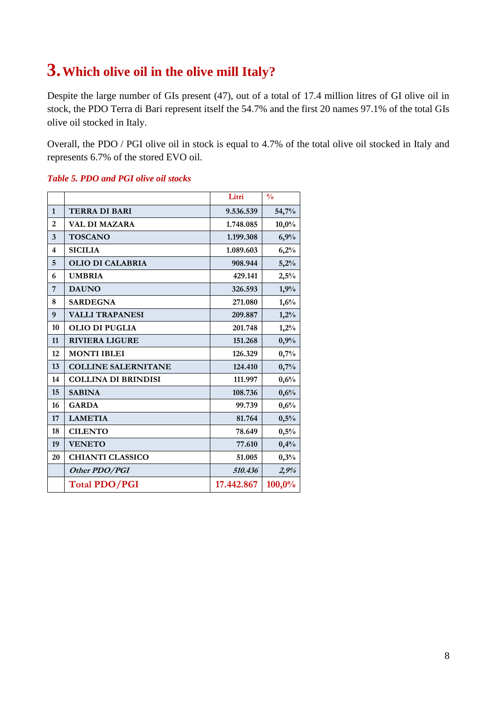# **3.Which olive oil in the olive mill Italy?**

Despite the large number of GIs present (47), out of a total of 17.4 million litres of GI olive oil in stock, the PDO Terra di Bari represent itself the 54.7% and the first 20 names 97.1% of the total GIs olive oil stocked in Italy.

Overall, the PDO / PGI olive oil in stock is equal to 4.7% of the total olive oil stocked in Italy and represents 6.7% of the stored EVO oil.

|                |                            | Litri      | $\frac{0}{0}$ |
|----------------|----------------------------|------------|---------------|
| 1              | <b>TERRA DI BARI</b>       | 9.536.539  | 54,7%         |
| $\overline{2}$ | <b>VAL DI MAZARA</b>       | 1.748.085  | 10,0%         |
| 3              | <b>TOSCANO</b>             | 1.199.308  | 6,9%          |
| 4              | <b>SICILIA</b>             | 1.089.603  | 6,2%          |
| 5              | <b>OLIO DI CALABRIA</b>    | 908.944    | 5,2%          |
| 6              | <b>UMBRIA</b>              | 429.141    | 2,5%          |
| 7              | <b>DAUNO</b>               | 326.593    | 1,9%          |
| 8              | <b>SARDEGNA</b>            | 271.080    | 1,6%          |
| 9              | <b>VALLI TRAPANESI</b>     | 209.887    | 1,2%          |
| 10             | <b>OLIO DI PUGLIA</b>      | 201.748    | 1,2%          |
| 11             | <b>RIVIERA LIGURE</b>      | 151.268    | 0,9%          |
| 12             | <b>MONTI IBLEI</b>         | 126.329    | 0,7%          |
| 13             | <b>COLLINE SALERNITANE</b> | 124.410    | 0,7%          |
| 14             | <b>COLLINA DI BRINDISI</b> | 111.997    | 0,6%          |
| 15             | <b>SABINA</b>              | 108.736    | 0,6%          |
| 16             | <b>GARDA</b>               | 99.739     | 0,6%          |
| 17             | <b>LAMETIA</b>             | 81.764     | 0,5%          |
| 18             | <b>CILENTO</b>             | 78.649     | 0,5%          |
| 19             | <b>VENETO</b>              | 77.610     | 0,4%          |
| 20             | <b>CHIANTI CLASSICO</b>    | 51.005     | 0,3%          |
|                | Other PDO/PGI              | 510.436    | 2,9%          |
|                | <b>Total PDO/PGI</b>       | 17.442.867 | 100,0%        |

#### *Table 5. PDO and PGI olive oil stocks*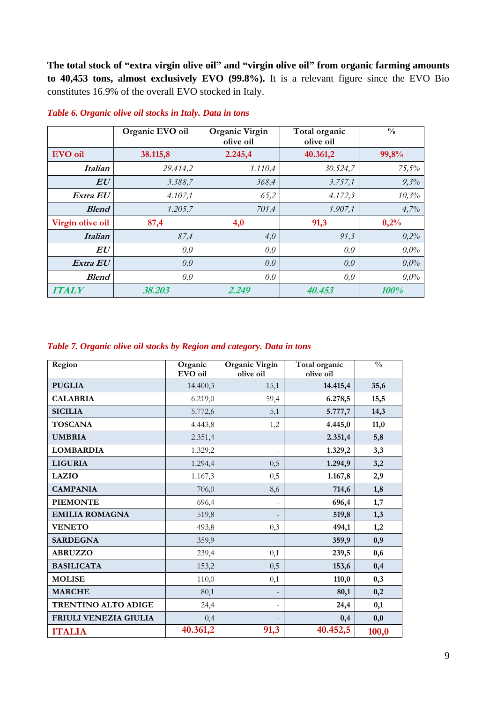**The total stock of "extra virgin olive oil" and "virgin olive oil" from organic farming amounts to 40,453 tons, almost exclusively EVO (99.8%).** It is a relevant figure since the EVO Bio constitutes 16.9% of the overall EVO stocked in Italy.

|                  | Organic EVO oil | <b>Organic Virgin</b><br>olive oil | Total organic<br>olive oil | $\frac{0}{0}$ |
|------------------|-----------------|------------------------------------|----------------------------|---------------|
| <b>EVO</b> oil   | 38.115,8        | 2.245,4                            | 40.361,2                   | 99,8%         |
| <i>Italian</i>   | 29.414,2        | 1.110,4                            | 30.524,7                   | 75,5%         |
| $\bm{E}\bm{U}$   | 3.388,7         | 368,4                              | 3.757,1                    | 9,3%          |
| Extra EU         | 4.107,1         | 65,2                               | 4.172,3                    | 10,3%         |
| <b>Blend</b>     | 1.205,7         | 701,4                              | 1.907,1                    | 4,7%          |
| Virgin olive oil | 87,4            | 4,0                                | 91,3                       | 0,2%          |
| <b>Italian</b>   | 87,4            | 4,0                                | 91,3                       | 0,2%          |
| EU               | 0,0             | 0,0                                | 0,0                        | $0.0\%$       |
| Extra EU         | 0,0             | 0,0                                | 0,0                        | $0.0\%$       |
| <b>Blend</b>     | 0,0             | 0,0                                | 0,0                        | $0.0\%$       |
| <b>ITALY</b>     | 38.203          | 2.249                              | 40.453                     | 100%          |

#### *Table 6. Organic olive oil stocks in Italy. Data in tons*

#### *Table 7. Organic olive oil stocks by Region and category. Data in tons*

| Region                     | Organic<br>EVO oil | Organic Virgin<br>olive oil | Total organic<br>olive oil | $\frac{0}{0}$ |
|----------------------------|--------------------|-----------------------------|----------------------------|---------------|
| <b>PUGLIA</b>              | 14.400,3           | 15,1                        | 14.415,4                   | 35,6          |
| <b>CALABRIA</b>            | 6.219,0            | 59,4                        | 6.278,5                    | 15,5          |
| <b>SICILIA</b>             | 5.772,6            | 5,1                         | 5.777,7                    | 14,3          |
| <b>TOSCANA</b>             | 4.443,8            | 1,2                         | 4.445,0                    | 11,0          |
| <b>UMBRIA</b>              | 2.351,4            |                             | 2.351,4                    | 5,8           |
| <b>LOMBARDIA</b>           | 1.329,2            | $\overline{\phantom{a}}$    | 1.329,2                    | 3,3           |
| <b>LIGURIA</b>             | 1.294,4            | 0,5                         | 1.294,9                    | 3,2           |
| <b>LAZIO</b>               | 1.167,3            | 0,5                         | 1.167,8                    | 2,9           |
| <b>CAMPANIA</b>            | 706,0              | 8,6                         | 714,6                      | 1,8           |
| <b>PIEMONTE</b>            | 696,4              |                             | 696,4                      | 1,7           |
| <b>EMILIA ROMAGNA</b>      | 519,8              |                             | 519,8                      | 1,3           |
| <b>VENETO</b>              | 493,8              | 0,3                         | 494,1                      | 1,2           |
| <b>SARDEGNA</b>            | 359,9              |                             | 359,9                      | 0,9           |
| <b>ABRUZZO</b>             | 239,4              | 0,1                         | 239,5                      | 0,6           |
| <b>BASILICATA</b>          | 153,2              | 0,5                         | 153,6                      | 0,4           |
| <b>MOLISE</b>              | 110,0              | 0,1                         | 110,0                      | 0,3           |
| <b>MARCHE</b>              | 80,1               | $\overline{a}$              | 80,1                       | 0,2           |
| <b>TRENTINO ALTO ADIGE</b> | 24,4               | ÷,                          | 24,4                       | 0,1           |
| FRIULI VENEZIA GIULIA      | 0,4                |                             | 0,4                        | 0,0           |
| <b>ITALIA</b>              | 40.361,2           | 91,3                        | 40.452,5                   | 100,0         |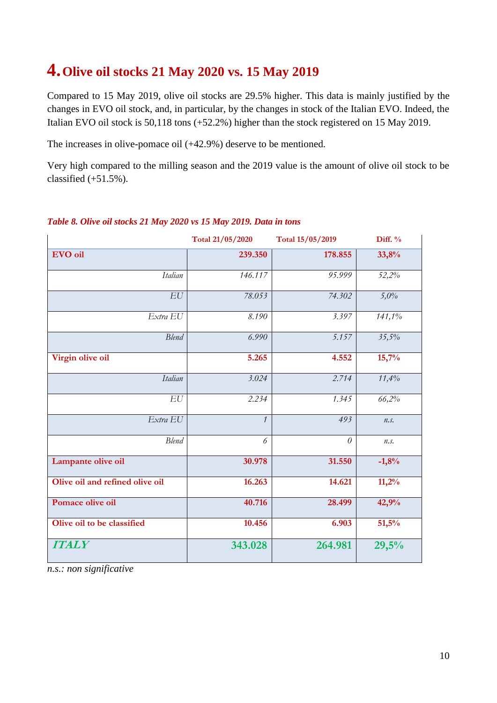## **4.Olive oil stocks 21 May 2020 vs. 15 May 2019**

Compared to 15 May 2019, olive oil stocks are 29.5% higher. This data is mainly justified by the changes in EVO oil stock, and, in particular, by the changes in stock of the Italian EVO. Indeed, the Italian EVO oil stock is 50,118 tons (+52.2%) higher than the stock registered on 15 May 2019.

The increases in olive-pomace oil (+42.9%) deserve to be mentioned.

Very high compared to the milling season and the 2019 value is the amount of olive oil stock to be classified  $(+51.5\%)$ .

|                                 | Total 21/05/2020 | Total 15/05/2019 | Diff. % |
|---------------------------------|------------------|------------------|---------|
| EVO oil                         | 239.350          | 178.855          | 33,8%   |
| Italian                         | 146.117          | 95.999           | 52,2%   |
| EU                              | 78.053           | 74.302           | 5,0%    |
| Extra EU                        | 8.190            | 3.397            | 141,1%  |
| <b>Blend</b>                    | 6.990            | 5.157            | 35,5%   |
| Virgin olive oil                | 5.265            | 4.552            | 15,7%   |
| Italian                         | 3.024            | 2.714            | 11,4%   |
| EU                              | 2.234            | 1.345            | 66,2%   |
| Extra EU                        | $\mathcal{I}$    | 493              | n.s.    |
| <b>Blend</b>                    | 6                | $\theta$         | n.s.    |
| Lampante olive oil              | 30.978           | 31.550           | $-1,8%$ |
| Olive oil and refined olive oil | 16.263           | 14.621           | 11,2%   |
| Pomace olive oil                | 40.716           | 28.499           | 42,9%   |
| Olive oil to be classified      | 10.456           | 6.903            | 51,5%   |
| <b>ITALY</b>                    | 343.028          | 264.981          | 29,5%   |

### *Table 8. Olive oil stocks 21 May 2020 vs 15 May 2019. Data in tons*

*n.s.: non significative*